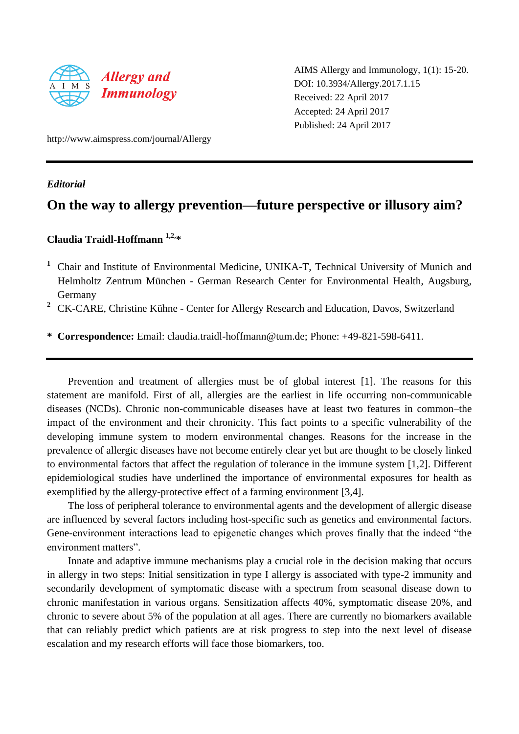

AIMS Allergy and Immunology, 1(1): 15-20. DOI: 10.3934/Allergy.2017.1.15 Received: 22 April 2017 Accepted: 24 April 2017 Published: 24 April 2017

http://www.aimspress.com/journal/Allergy

*Editorial* 

## **On the way to allergy prevention—future perspective or illusory aim?**

## **Claudia Traidl-Hoffmann 1,2,\***

- <sup>1</sup> Chair and Institute of Environmental Medicine, UNIKA-T, Technical University of Munich and Helmholtz Zentrum München - German Research Center for Environmental Health, Augsburg, Germany
- <sup>2</sup> CK-CARE, Christine Kühne Center for Allergy Research and Education, Davos, Switzerland

**\* Correspondence:** Email: claudia.traidl-hoffmann@tum.de; Phone: +49-821-598-6411.

Prevention and treatment of allergies must be of global interest [1]. The reasons for this statement are manifold. First of all, allergies are the earliest in life occurring non-communicable diseases (NCDs). Chronic non-communicable diseases have at least two features in common–the impact of the environment and their chronicity. This fact points to a specific vulnerability of the developing immune system to modern environmental changes. Reasons for the increase in the prevalence of allergic diseases have not become entirely clear yet but are thought to be closely linked to environmental factors that affect the regulation of tolerance in the immune system [1,2]. Different epidemiological studies have underlined the importance of environmental exposures for health as exemplified by the allergy-protective effect of a farming environment [3,4].

The loss of peripheral tolerance to environmental agents and the development of allergic disease are influenced by several factors including host-specific such as genetics and environmental factors. Gene-environment interactions lead to epigenetic changes which proves finally that the indeed "the environment matters".

Innate and adaptive immune mechanisms play a crucial role in the decision making that occurs in allergy in two steps: Initial sensitization in type I allergy is associated with type-2 immunity and secondarily development of symptomatic disease with a spectrum from seasonal disease down to chronic manifestation in various organs. Sensitization affects 40%, symptomatic disease 20%, and chronic to severe about 5% of the population at all ages. There are currently no biomarkers available that can reliably predict which patients are at risk progress to step into the next level of disease escalation and my research efforts will face those biomarkers, too.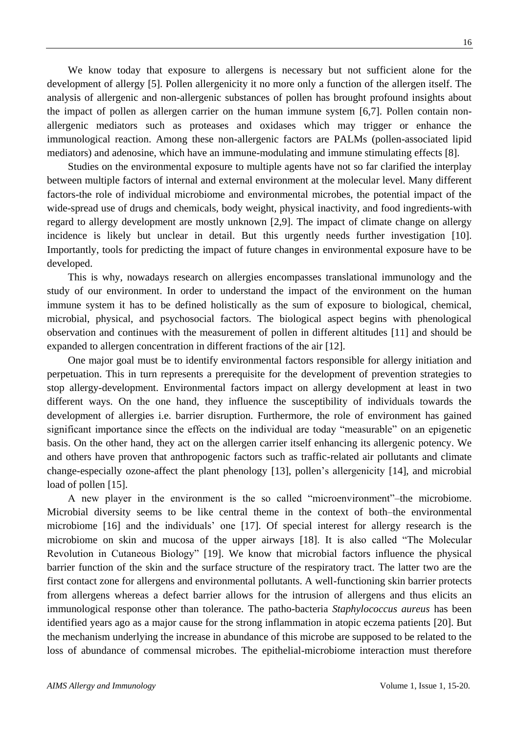We know today that exposure to allergens is necessary but not sufficient alone for the development of allergy [5]. Pollen allergenicity it no more only a function of the allergen itself. The analysis of allergenic and non-allergenic substances of pollen has brought profound insights about the impact of pollen as allergen carrier on the human immune system [6,7]. Pollen contain nonallergenic mediators such as proteases and oxidases which may trigger or enhance the immunological reaction. Among these non-allergenic factors are PALMs (pollen-associated lipid mediators) and adenosine, which have an immune-modulating and immune stimulating effects [8].

Studies on the environmental exposure to multiple agents have not so far clarified the interplay between multiple factors of internal and external environment at the molecular level. Many different factors-the role of individual microbiome and environmental microbes, the potential impact of the wide-spread use of drugs and chemicals, body weight, physical inactivity, and food ingredients-with regard to allergy development are mostly unknown [2,9]. The impact of climate change on allergy incidence is likely but unclear in detail. But this urgently needs further investigation [10]. Importantly, tools for predicting the impact of future changes in environmental exposure have to be developed.

This is why, nowadays research on allergies encompasses translational immunology and the study of our environment. In order to understand the impact of the environment on the human immune system it has to be defined holistically as the sum of exposure to biological, chemical, microbial, physical, and psychosocial factors. The biological aspect begins with phenological observation and continues with the measurement of pollen in different altitudes [11] and should be expanded to allergen concentration in different fractions of the air [12].

One major goal must be to identify environmental factors responsible for allergy initiation and perpetuation. This in turn represents a prerequisite for the development of prevention strategies to stop allergy-development. Environmental factors impact on allergy development at least in two different ways. On the one hand, they influence the susceptibility of individuals towards the development of allergies i.e. barrier disruption. Furthermore, the role of environment has gained significant importance since the effects on the individual are today "measurable" on an epigenetic basis. On the other hand, they act on the allergen carrier itself enhancing its allergenic potency. We and others have proven that anthropogenic factors such as traffic-related air pollutants and climate change-especially ozone-affect the plant phenology [13], pollen's allergenicity [14], and microbial load of pollen [15].

A new player in the environment is the so called "microenvironment"–the microbiome. Microbial diversity seems to be like central theme in the context of both–the environmental microbiome [16] and the individuals' one [17]. Of special interest for allergy research is the microbiome on skin and mucosa of the upper airways [18]. It is also called "The Molecular Revolution in Cutaneous Biology" [19]. We know that microbial factors influence the physical barrier function of the skin and the surface structure of the respiratory tract. The latter two are the first contact zone for allergens and environmental pollutants. A well-functioning skin barrier protects from allergens whereas a defect barrier allows for the intrusion of allergens and thus elicits an immunological response other than tolerance. The patho-bacteria *Staphylococcus aureus* has been identified years ago as a major cause for the strong inflammation in atopic eczema patients [20]. But the mechanism underlying the increase in abundance of this microbe are supposed to be related to the loss of abundance of commensal microbes. The epithelial-microbiome interaction must therefore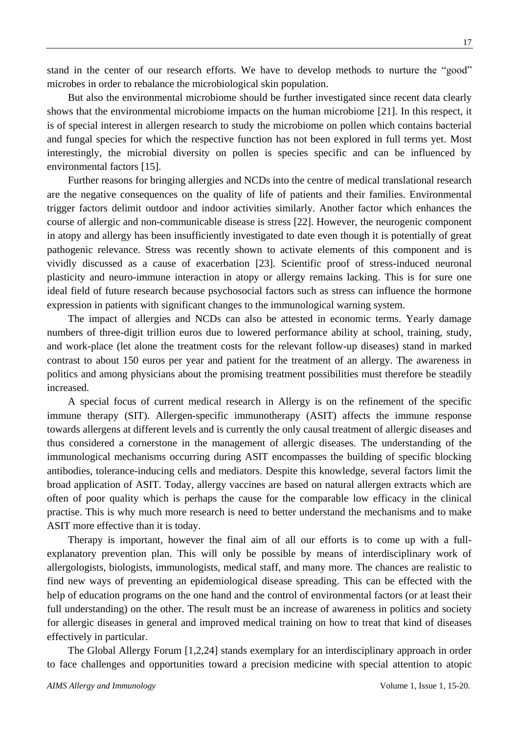stand in the center of our research efforts. We have to develop methods to nurture the "good" microbes in order to rebalance the microbiological skin population.

But also the environmental microbiome should be further investigated since recent data clearly shows that the environmental microbiome impacts on the human microbiome [21]. In this respect, it is of special interest in allergen research to study the microbiome on pollen which contains bacterial and fungal species for which the respective function has not been explored in full terms yet. Most interestingly, the microbial diversity on pollen is species specific and can be influenced by environmental factors [15].

Further reasons for bringing allergies and NCDs into the centre of medical translational research are the negative consequences on the quality of life of patients and their families. Environmental trigger factors delimit outdoor and indoor activities similarly. Another factor which enhances the course of allergic and non-communicable disease is stress [22]. However, the neurogenic component in atopy and allergy has been insufficiently investigated to date even though it is potentially of great pathogenic relevance. Stress was recently shown to activate elements of this component and is vividly discussed as a cause of exacerbation [23]. Scientific proof of stress-induced neuronal plasticity and neuro-immune interaction in atopy or allergy remains lacking. This is for sure one ideal field of future research because psychosocial factors such as stress can influence the hormone expression in patients with significant changes to the immunological warning system.

The impact of allergies and NCDs can also be attested in economic terms. Yearly damage numbers of three-digit trillion euros due to lowered performance ability at school, training, study, and work-place (let alone the treatment costs for the relevant follow-up diseases) stand in marked contrast to about 150 euros per year and patient for the treatment of an allergy. The awareness in politics and among physicians about the promising treatment possibilities must therefore be steadily increased.

A special focus of current medical research in Allergy is on the refinement of the specific immune therapy (SIT). Allergen-specific immunotherapy (ASIT) affects the immune response towards allergens at different levels and is currently the only causal treatment of allergic diseases and thus considered a cornerstone in the management of allergic diseases. The understanding of the immunological mechanisms occurring during ASIT encompasses the building of specific blocking antibodies, tolerance-inducing cells and mediators. Despite this knowledge, several factors limit the broad application of ASIT. Today, allergy vaccines are based on natural allergen extracts which are often of poor quality which is perhaps the cause for the comparable low efficacy in the clinical practise. This is why much more research is need to better understand the mechanisms and to make ASIT more effective than it is today.

Therapy is important, however the final aim of all our efforts is to come up with a fullexplanatory prevention plan. This will only be possible by means of interdisciplinary work of allergologists, biologists, immunologists, medical staff, and many more. The chances are realistic to find new ways of preventing an epidemiological disease spreading. This can be effected with the help of education programs on the one hand and the control of environmental factors (or at least their full understanding) on the other. The result must be an increase of awareness in politics and society for allergic diseases in general and improved medical training on how to treat that kind of diseases effectively in particular.

The Global Allergy Forum [1,2,24] stands exemplary for an interdisciplinary approach in order to face challenges and opportunities toward a precision medicine with special attention to atopic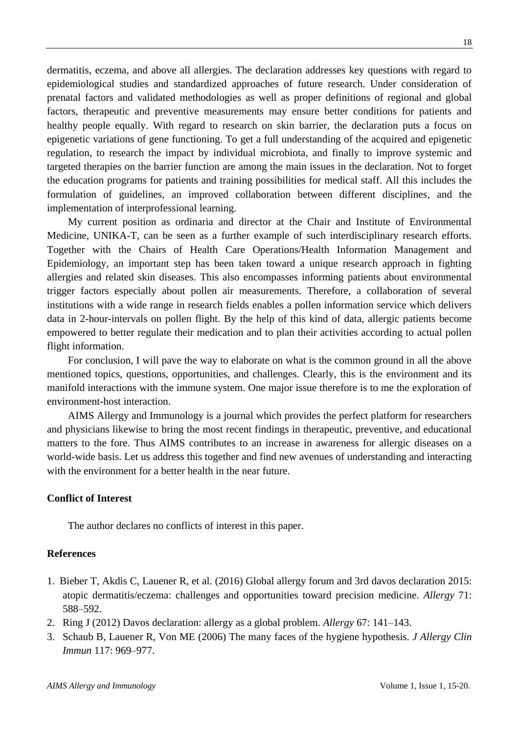dermatitis, eczema, and above all allergies. The declaration addresses key questions with regard to epidemiological studies and standardized approaches of future research. Under consideration of prenatal factors and validated methodologies as well as proper definitions of regional and global factors, therapeutic and preventive measurements may ensure better conditions for patients and healthy people equally. With regard to research on skin barrier, the declaration puts a focus on epigenetic variations of gene functioning. To get a full understanding of the acquired and epigenetic regulation, to research the impact by individual microbiota, and finally to improve systemic and targeted therapies on the barrier function are among the main issues in the declaration. Not to forget the education programs for patients and training possibilities for medical staff. All this includes the formulation of guidelines, an improved collaboration between different disciplines, and the implementation of interprofessional learning.

My current position as ordinaria and director at the Chair and Institute of Environmental Medicine, UNIKA-T, can be seen as a further example of such interdisciplinary research efforts. Together with the Chairs of Health Care Operations/Health Information Management and Epidemiology, an important step has been taken toward a unique research approach in fighting allergies and related skin diseases. This also encompasses informing patients about environmental trigger factors especially about pollen air measurements. Therefore, a collaboration of several institutions with a wide range in research fields enables a pollen information service which delivers data in 2-hour-intervals on pollen flight. By the help of this kind of data, allergic patients become empowered to better regulate their medication and to plan their activities according to actual pollen flight information.

For conclusion, I will pave the way to elaborate on what is the common ground in all the above mentioned topics, questions, opportunities, and challenges. Clearly, this is the environment and its manifold interactions with the immune system. One major issue therefore is to me the exploration of environment-host interaction.

AIMS Allergy and Immunology is a journal which provides the perfect platform for researchers and physicians likewise to bring the most recent findings in therapeutic, preventive, and educational matters to the fore. Thus AIMS contributes to an increase in awareness for allergic diseases on a world-wide basis. Let us address this together and find new avenues of understanding and interacting with the environment for a better health in the near future.

## **Conflict of Interest**

The author declares no conflicts of interest in this paper.

## **References**

- 1. Bieber T, Akdis C, Lauener R, et al. (2016) Global allergy forum and 3rd davos declaration 2015: atopic dermatitis/eczema: challenges and opportunities toward precision medicine. *Allergy* 71: 588–592.
- 2. Ring J (2012) Davos declaration: allergy as a global problem. *Allergy* 67: 141–143.
- 3. Schaub B, Lauener R, Von ME (2006) The many faces of the hygiene hypothesis*. J Allergy Clin Immun* 117: 969–977.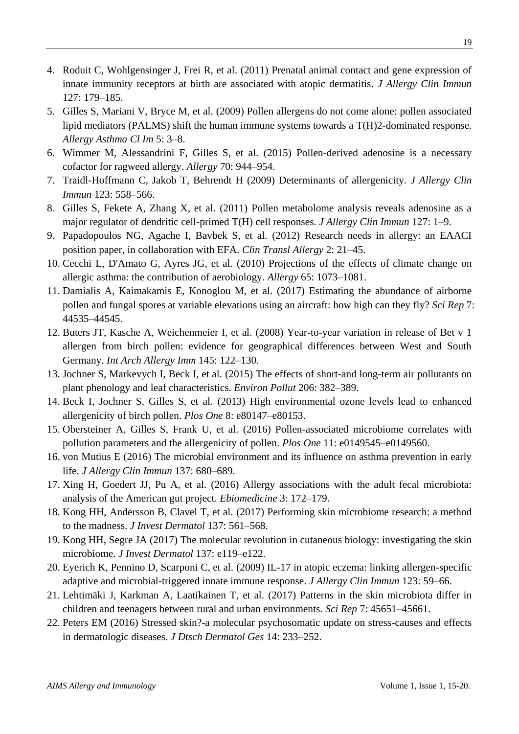- 4. Roduit C, Wohlgensinger J, Frei R, et al. (2011) Prenatal animal contact and gene expression of innate immunity receptors at birth are associated with atopic dermatitis. *J Allergy Clin Immun* 127: 179–185.
- 5. Gilles S, Mariani V, Bryce M, et al. (2009) Pollen allergens do not come alone: pollen associated lipid mediators (PALMS) shift the human immune systems towards a T(H)2-dominated response. *Allergy Asthma Cl Im* 5: 3–8.
- 6. Wimmer M, Alessandrini F, Gilles S, et al. (2015) Pollen-derived adenosine is a necessary cofactor for ragweed allergy*. Allergy* 70: 944–954.
- 7. Traidl-Hoffmann C, Jakob T, Behrendt H (2009) Determinants of allergenicity*. J Allergy Clin Immun* 123: 558–566.
- 8. Gilles S, Fekete A, Zhang X, et al. (2011) Pollen metabolome analysis reveals adenosine as a major regulator of dendritic cell-primed T(H) cell responses*. J Allergy Clin Immun* 127: 1–9.
- 9. Papadopoulos NG, Agache I, Bavbek S, et al. (2012) Research needs in allergy: an EAACI position paper, in collaboration with EFA. *Clin Transl Allergy* 2: 21–45.
- 10. Cecchi L, D'Amato G, Ayres JG, et al. (2010) Projections of the effects of climate change on allergic asthma: the contribution of aerobiology*. Allergy* 65: 1073–1081.
- 11. Damialis A, Kaimakamis E, Konoglou M, et al. (2017) Estimating the abundance of airborne pollen and fungal spores at variable elevations using an aircraft: how high can they fly? *Sci Rep* 7: 44535–44545.
- 12. Buters JT, Kasche A, Weichenmeier I, et al. (2008) Year-to-year variation in release of Bet v 1 allergen from birch pollen: evidence for geographical differences between West and South Germany. *Int Arch Allergy Imm* 145: 122–130.
- 13. Jochner S, Markevych I, Beck I, et al. (2015) The effects of short-and long-term air pollutants on plant phenology and leaf characteristics. *Environ Pollut* 206: 382–389.
- 14. Beck I, Jochner S, Gilles S, et al. (2013) High environmental ozone levels lead to enhanced allergenicity of birch pollen. *Plos One* 8: e80147–e80153.
- 15. Obersteiner A, Gilles S, Frank U, et al. (2016) Pollen-associated microbiome correlates with pollution parameters and the allergenicity of pollen. *Plos One* 11: e0149545–e0149560.
- 16. von Mutius E (2016) The microbial environment and its influence on asthma prevention in early life*. J Allergy Clin Immun* 137: 680–689.
- 17. Xing H, Goedert JJ, Pu A, et al. (2016) Allergy associations with the adult fecal microbiota: analysis of the American gut project. *Ebiomedicine* 3: 172–179.
- 18. Kong HH, Andersson B, Clavel T, et al. (2017) Performing skin microbiome research: a method to the madness. *J Invest Dermatol* 137: 561–568.
- 19. Kong HH, Segre JA (2017) The molecular revolution in cutaneous biology: investigating the skin microbiome. *J Invest Dermatol* 137: e119–e122.
- 20. Eyerich K, Pennino D, Scarponi C, et al. (2009) IL-17 in atopic eczema: linking allergen-specific adaptive and microbial-triggered innate immune response. *J Allergy Clin Immun* 123: 59–66.
- 21. Lehtimäki J, Karkman A, Laatikainen T, et al. (2017) Patterns in the skin microbiota differ in children and teenagers between rural and urban environments. *Sci Rep* 7: 45651–45661.
- 22. Peters EM (2016) Stressed skin?-a molecular psychosomatic update on stress-causes and effects in dermatologic diseases. *J Dtsch Dermatol Ges* 14: 233–252.